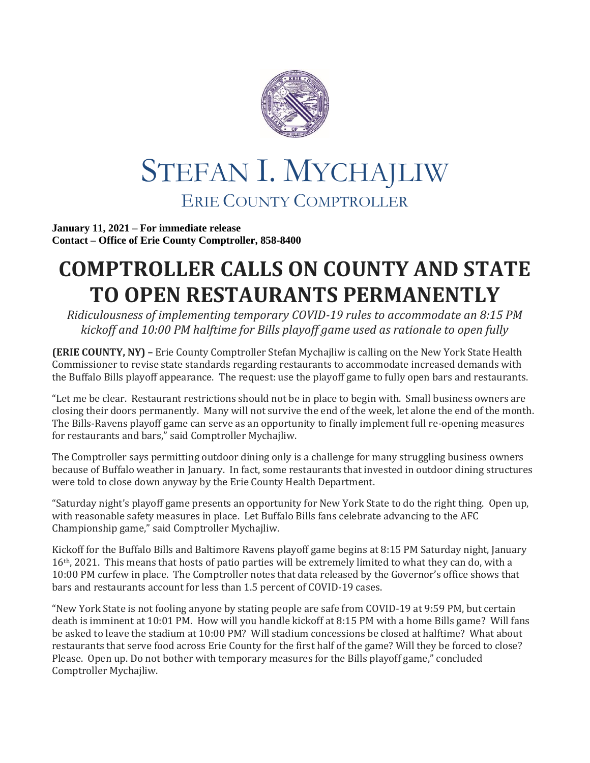

## STEFAN I. MYCHAJLIW ERIE COUNTY COMPTROLLER

**January 11, 2021 – For immediate release Contact – Office of Erie County Comptroller, 858-8400**

## **COMPTROLLER CALLS ON COUNTY AND STATE TO OPEN RESTAURANTS PERMANENTLY**

*Ridiculousness of implementing temporary COVID-19 rules to accommodate an 8:15 PM kickoff and 10:00 PM halftime for Bills playoff game used as rationale to open fully*

**(ERIE COUNTY, NY) –** Erie County Comptroller Stefan Mychajliw is calling on the New York State Health Commissioner to revise state standards regarding restaurants to accommodate increased demands with the Buffalo Bills playoff appearance. The request: use the playoff game to fully open bars and restaurants.

"Let me be clear. Restaurant restrictions should not be in place to begin with. Small business owners are closing their doors permanently. Many will not survive the end of the week, let alone the end of the month. The Bills-Ravens playoff game can serve as an opportunity to finally implement full re-opening measures for restaurants and bars," said Comptroller Mychajliw.

The Comptroller says permitting outdoor dining only is a challenge for many struggling business owners because of Buffalo weather in January. In fact, some restaurants that invested in outdoor dining structures were told to close down anyway by the Erie County Health Department.

"Saturday night's playoff game presents an opportunity for New York State to do the right thing. Open up, with reasonable safety measures in place. Let Buffalo Bills fans celebrate advancing to the AFC Championship game," said Comptroller Mychajliw.

Kickoff for the Buffalo Bills and Baltimore Ravens playoff game begins at 8:15 PM Saturday night, January 16th, 2021. This means that hosts of patio parties will be extremely limited to what they can do, with a 10:00 PM curfew in place. The Comptroller notes that data released by the Governor's office shows that bars and restaurants account for less than 1.5 percent of COVID-19 cases.

"New York State is not fooling anyone by stating people are safe from COVID-19 at 9:59 PM, but certain death is imminent at 10:01 PM. How will you handle kickoff at 8:15 PM with a home Bills game? Will fans be asked to leave the stadium at 10:00 PM? Will stadium concessions be closed at halftime? What about restaurants that serve food across Erie County for the first half of the game? Will they be forced to close? Please. Open up. Do not bother with temporary measures for the Bills playoff game," concluded Comptroller Mychajliw.